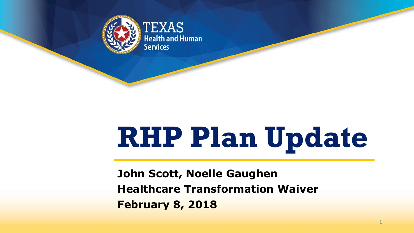

**EXAS Health and Human Services** 

# **RHP Plan Update**

**John Scott, Noelle Gaughen Healthcare Transformation Waiver February 8, 2018**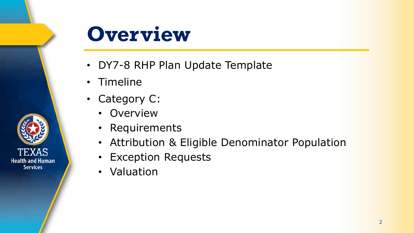

#### **Overview**

- DY7-8 RHP Plan Update Template
- Timeline
- Category C:
	- Overview
	- Requirements
	- Attribution & Eligible Denominator Population
	- Exception Requests
	- Valuation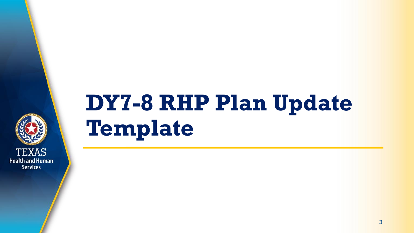

## **DY7-8 RHP Plan Update Template**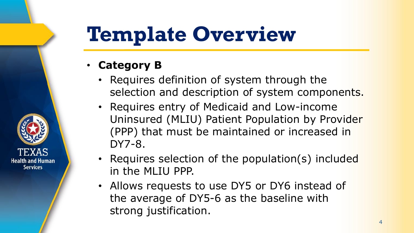### **Template Overview**

• **Category B**

- Requires definition of system through the selection and description of system components.
- Requires entry of Medicaid and Low-income Uninsured (MLIU) Patient Population by Provider (PPP) that must be maintained or increased in DY7-8.
- Requires selection of the population(s) included in the MLIU PPP.
- Allows requests to use DY5 or DY6 instead of the average of DY5-6 as the baseline with strong justification.

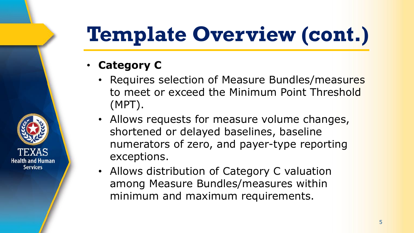## **Template Overview (cont.)**

• **Category C**

- Requires selection of Measure Bundles/measures to meet or exceed the Minimum Point Threshold (MPT).
- Allows requests for measure volume changes, shortened or delayed baselines, baseline numerators of zero, and payer-type reporting exceptions.
- Allows distribution of Category C valuation among Measure Bundles/measures within minimum and maximum requirements.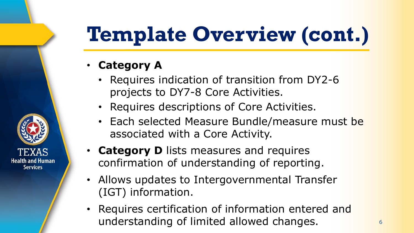## **Template Overview (cont.)**

• **Category A** 

- Requires indication of transition from DY2-6 projects to DY7-8 Core Activities.
- Requires descriptions of Core Activities.
- Each selected Measure Bundle/measure must be associated with a Core Activity.
- **Category D** lists measures and requires confirmation of understanding of reporting.
- Allows updates to Intergovernmental Transfer (IGT) information.
- Requires certification of information entered and understanding of limited allowed changes.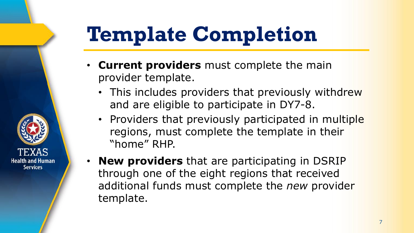## **Template Completion**

- **Current providers** must complete the main provider template.
	- This includes providers that previously withdrew and are eligible to participate in DY7-8.
	- Providers that previously participated in multiple regions, must complete the template in their "home" RHP.
- **New providers** that are participating in DSRIP through one of the eight regions that received additional funds must complete the *new* provider template.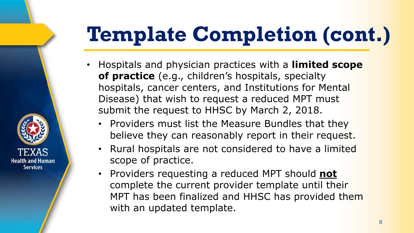## **Template Completion (cont.)**

- Hospitals and physician practices with a **limited scope of practice** (e.g., children's hospitals, specialty hospitals, cancer centers, and Institutions for Mental Disease) that wish to request a reduced MPT must submit the request to HHSC by March 2, 2018.
	- Providers must list the Measure Bundles that they believe they can reasonably report in their request.
	- Rural hospitals are not considered to have a limited scope of practice.

**Health and Human Services** 

• Providers requesting a reduced MPT should **not** complete the current provider template until their MPT has been finalized and HHSC has provided them with an updated template.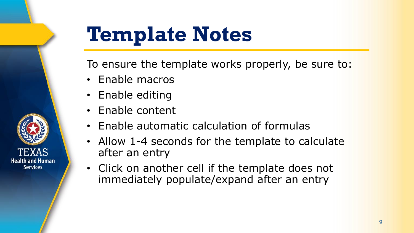

### **Template Notes**

To ensure the template works properly, be sure to:

- Enable macros
- Enable editing
- Enable content
- Enable automatic calculation of formulas
- Allow 1-4 seconds for the template to calculate after an entry
- Click on another cell if the template does not immediately populate/expand after an entry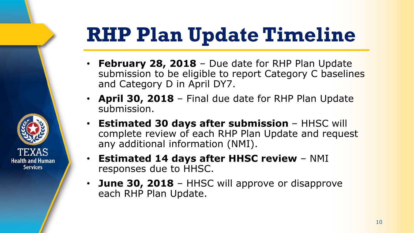### **RHP Plan Update Timeline**

- **February 28, 2018**  Due date for RHP Plan Update submission to be eligible to report Category C baselines and Category D in April DY7.
- **April 30, 2018**  Final due date for RHP Plan Update submission.
- **Estimated 30 days after submission**  HHSC will complete review of each RHP Plan Update and request any additional information (NMI).
- **Estimated 14 days after HHSC review**  NMI responses due to HHSC.

**Health and Human Services** 

> **June 30, 2018** – HHSC will approve or disapprove each RHP Plan Update.

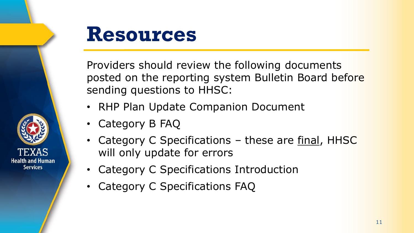

#### **Resources**

Providers should review the following documents posted on the reporting system Bulletin Board before sending questions to HHSC:

- RHP Plan Update Companion Document
- Category B FAQ
- Category C Specifications these are final, HHSC will only update for errors
- Category C Specifications Introduction
- Category C Specifications FAQ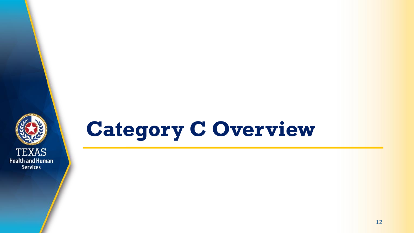

#### **Category C Overview**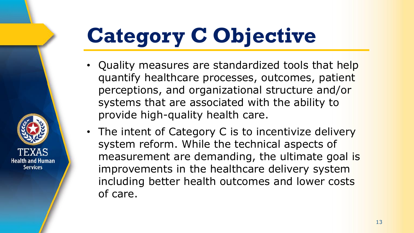## **Category C Objective**

- Quality measures are standardized tools that help quantify healthcare processes, outcomes, patient perceptions, and organizational structure and/or systems that are associated with the ability to provide high-quality health care.
- The intent of Category C is to incentivize delivery system reform. While the technical aspects of measurement are demanding, the ultimate goal is improvements in the healthcare delivery system including better health outcomes and lower costs of care.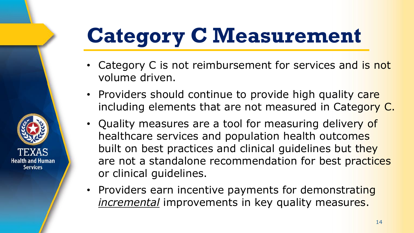## **Category C Measurement**

- Category C is not reimbursement for services and is not volume driven.
- Providers should continue to provide high quality care including elements that are not measured in Category C.
- Quality measures are a tool for measuring delivery of healthcare services and population health outcomes built on best practices and clinical guidelines but they are not a standalone recommendation for best practices or clinical guidelines.
- Providers earn incentive payments for demonstrating *incremental* improvements in key quality measures.

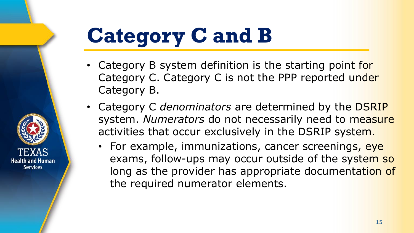## **Category C and B**

- Category B system definition is the starting point for Category C. Category C is not the PPP reported under Category B.
- Category C *denominators* are determined by the DSRIP system. *Numerators* do not necessarily need to measure activities that occur exclusively in the DSRIP system.
	- For example, immunizations, cancer screenings, eye exams, follow-ups may occur outside of the system so long as the provider has appropriate documentation of the required numerator elements.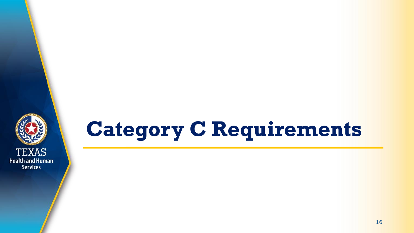

## **Category C Requirements**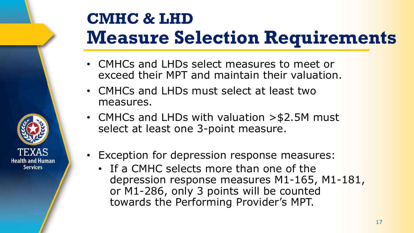#### **CMHC & LHD Measure Selection Requirements**

- CMHCs and LHDs select measures to meet or exceed their MPT and maintain their valuation.
- CMHCs and LHDs must select at least two measures.
- CMHCs and LHDs with valuation > \$2.5M must select at least one 3-point measure.
- Exception for depression response measures:

**Health and Human Services** 

• If a CMHC selects more than one of the depression response measures M1-165, M1-181, or M1-286, only 3 points will be counted towards the Performing Provider's MPT.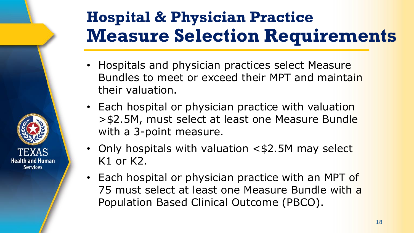#### **Hospital & Physician Practice Measure Selection Requirements**

- Hospitals and physician practices select Measure Bundles to meet or exceed their MPT and maintain their valuation.
- Each hospital or physician practice with valuation >\$2.5M, must select at least one Measure Bundle with a 3-point measure.
- Only hospitals with valuation <\$2.5M may select K1 or K2.

Health and Human **Services** 

> • Each hospital or physician practice with an MPT of 75 must select at least one Measure Bundle with a Population Based Clinical Outcome (PBCO).

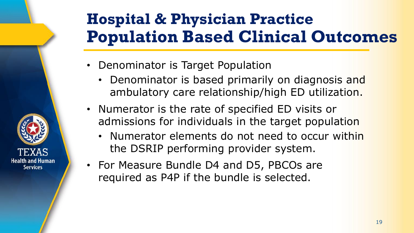#### **Hospital & Physician Practice Population Based Clinical Outcomes**

- Denominator is Target Population
	- Denominator is based primarily on diagnosis and ambulatory care relationship/high ED utilization.
- Numerator is the rate of specified ED visits or admissions for individuals in the target population
	- Numerator elements do not need to occur within the DSRIP performing provider system.
- For Measure Bundle D4 and D5, PBCOs are required as P4P if the bundle is selected.

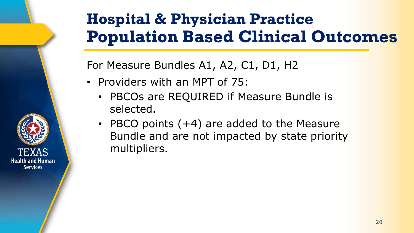#### **Hospital & Physician Practice Population Based Clinical Outcomes**

For Measure Bundles A1, A2, C1, D1, H2

- Providers with an MPT of 75:
	- PBCOs are REQUIRED if Measure Bundle is selected.
	- PBCO points (+4) are added to the Measure Bundle and are not impacted by state priority multipliers.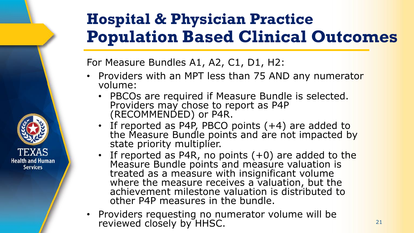#### **Hospital & Physician Practice Population Based Clinical Outcomes**

For Measure Bundles A1, A2, C1, D1, H2:

- Providers with an MPT less than 75 AND any numerator volume:
	- PBCOs are required if Measure Bundle is selected. Providers may chose to report as P4P (RECOMMENDED) or P4R.
	- If reported as P4P, PBCO points (+4) are added to the Measure Bundle points and are not impacted by state priority multiplier.
	- If reported as P4R, no points (+0) are added to the Measure Bundle points and measure valuation is treated as a measure with insignificant volume where the measure receives a valuation, but the achievement milestone valuation is distributed to other P4P measures in the bundle.
- Providers requesting no numerator volume will be reviewed closely by HHSC.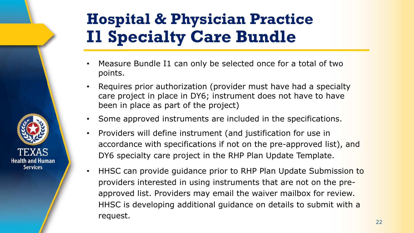#### **Hospital & Physician Practice I1 Specialty Care Bundle**

- Measure Bundle I1 can only be selected once for a total of two points.
- Requires prior authorization (provider must have had a specialty care project in place in DY6; instrument does not have to have been in place as part of the project)
- Some approved instruments are included in the specifications.
- Providers will define instrument (and justification for use in accordance with specifications if not on the pre-approved list), and DY6 specialty care project in the RHP Plan Update Template.
- HHSC can provide guidance prior to RHP Plan Update Submission to providers interested in using instruments that are not on the preapproved list. Providers may email the waiver mailbox for review. HHSC is developing additional guidance on details to submit with a request.





22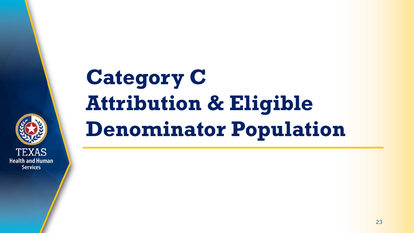

## **Category C Attribution & Eligible Denominator Population**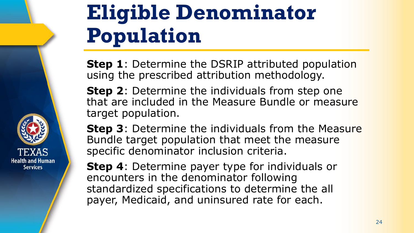

### **Eligible Denominator Population**

**Step 1**: Determine the DSRIP attributed population using the prescribed attribution methodology.

**Step 2**: Determine the individuals from step one that are included in the Measure Bundle or measure target population.

**Step 3**: Determine the individuals from the Measure Bundle target population that meet the measure specific denominator inclusion criteria.

**Step 4**: Determine payer type for individuals or encounters in the denominator following standardized specifications to determine the all payer, Medicaid, and uninsured rate for each.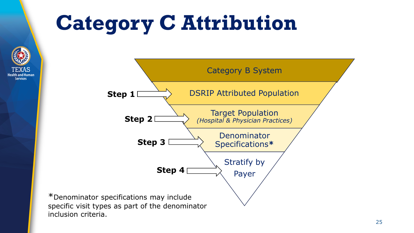### **Category C Attribution**



inclusion criteria.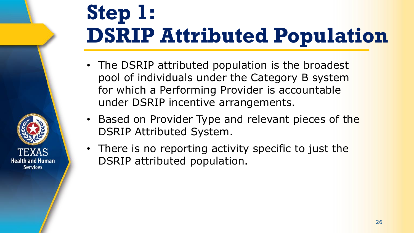### **Step 1: DSRIP Attributed Population**

- The DSRIP attributed population is the broadest pool of individuals under the Category B system for which a Performing Provider is accountable under DSRIP incentive arrangements.
- Based on Provider Type and relevant pieces of the DSRIP Attributed System.
- There is no reporting activity specific to just the DSRIP attributed population.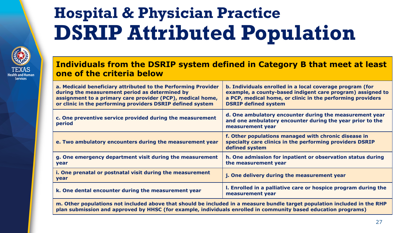#### **Hospital & Physician Practice DSRIP Attributed Population**



#### **Individuals from the DSRIP system defined in Category B that meet at least one of the criteria below**

| a. Medicaid beneficiary attributed to the Performing Provider<br>during the measurement period as determined by<br>assignment to a primary care provider (PCP), medical home,<br>or clinic in the performing providers DSRIP defined system | b. Individuals enrolled in a local coverage program (for<br>example, a county-based indigent care program) assigned to<br>a PCP, medical home, or clinic in the performing providers<br><b>DSRIP defined system</b> |  |  |  |
|---------------------------------------------------------------------------------------------------------------------------------------------------------------------------------------------------------------------------------------------|---------------------------------------------------------------------------------------------------------------------------------------------------------------------------------------------------------------------|--|--|--|
| c. One preventive service provided during the measurement<br>period                                                                                                                                                                         | d. One ambulatory encounter during the measurement year<br>and one ambulatory encounter during the year prior to the<br>measurement year                                                                            |  |  |  |
| e. Two ambulatory encounters during the measurement year                                                                                                                                                                                    | f. Other populations managed with chronic disease in<br>specialty care clinics in the performing providers DSRIP<br>defined system                                                                                  |  |  |  |
| g. One emergency department visit during the measurement<br>year                                                                                                                                                                            | h. One admission for inpatient or observation status during<br>the measurement year                                                                                                                                 |  |  |  |
| i. One prenatal or postnatal visit during the measurement<br>year                                                                                                                                                                           | j. One delivery during the measurement year                                                                                                                                                                         |  |  |  |
| k. One dental encounter during the measurement year                                                                                                                                                                                         | I. Enrolled in a palliative care or hospice program during the<br>measurement year                                                                                                                                  |  |  |  |
| m. Other populations not included above that should be included in a measure bundle target population included in the RHP                                                                                                                   |                                                                                                                                                                                                                     |  |  |  |

**plan submission and approved by HHSC (for example, individuals enrolled in community based education programs)**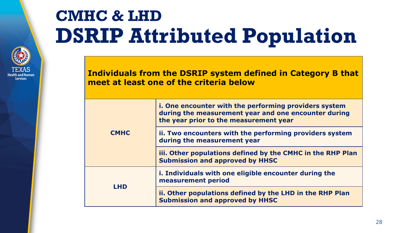#### **CMHC & LHD DSRIP Attributed Population**

**Health and Huma Services** 

**Individuals from the DSRIP system defined in Category B that meet at least one of the criteria below** 

| <b>CMHC</b> | i. One encounter with the performing providers system<br>during the measurement year and one encounter during<br>the year prior to the measurement year |
|-------------|---------------------------------------------------------------------------------------------------------------------------------------------------------|
|             | ii. Two encounters with the performing providers system<br>during the measurement year                                                                  |
|             | iii. Other populations defined by the CMHC in the RHP Plan<br><b>Submission and approved by HHSC</b>                                                    |
| <b>LHD</b>  | i. Individuals with one eligible encounter during the<br>measurement period                                                                             |
|             | ii. Other populations defined by the LHD in the RHP Plan<br><b>Submission and approved by HHSC</b>                                                      |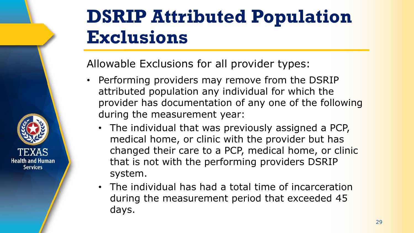#### **DSRIP Attributed Population Exclusions**

Allowable Exclusions for all provider types:

- Performing providers may remove from the DSRIP attributed population any individual for which the provider has documentation of any one of the following during the measurement year:
	- The individual that was previously assigned a PCP, medical home, or clinic with the provider but has changed their care to a PCP, medical home, or clinic that is not with the performing providers DSRIP system.
	- The individual has had a total time of incarceration during the measurement period that exceeded 45 days.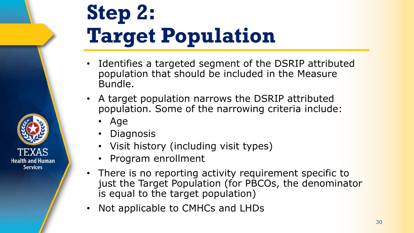## **Step 2: Target Population**

- Identifies a targeted segment of the DSRIP attributed population that should be included in the Measure Bundle.
- A target population narrows the DSRIP attributed population. Some of the narrowing criteria include:
	- Age

- **Diagnosis**
- Visit history (including visit types)
- Program enrollment
- There is no reporting activity requirement specific to just the Target Population (for PBCOs, the denominator is equal to the target population)
- Not applicable to CMHCs and LHDs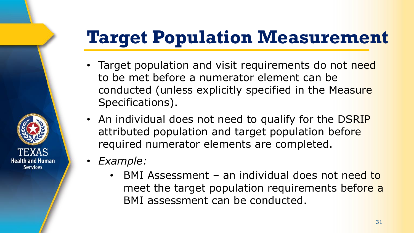#### **Target Population Measurement**

- Target population and visit requirements do not need to be met before a numerator element can be conducted (unless explicitly specified in the Measure Specifications).
- An individual does not need to qualify for the DSRIP attributed population and target population before required numerator elements are completed.
- *Example:*

Health and Human **Services** 

> BMI Assessment – an individual does not need to meet the target population requirements before a BMI assessment can be conducted.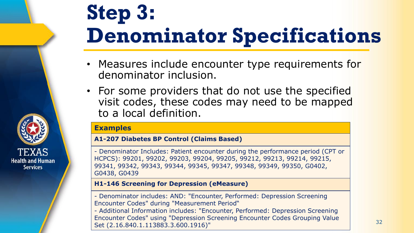## **Step 3: Denominator Specifications**

- Measures include encounter type requirements for denominator inclusion.
- For some providers that do not use the specified visit codes, these codes may need to be mapped to a local definition.

#### **Examples**

#### **A1-207 Diabetes BP Control (Claims Based)**

- Denominator Includes: Patient encounter during the performance period (CPT or HCPCS): 99201, 99202, 99203, 99204, 99205, 99212, 99213, 99214, 99215, 99341, 99342, 99343, 99344, 99345, 99347, 99348, 99349, 99350, G0402, G0438, G0439

#### **H1-146 Screening for Depression (eMeasure)**

- Denominator includes: AND: "Encounter, Performed: Depression Screening Encounter Codes" during "Measurement Period"

- Additional Information includes: "Encounter, Performed: Depression Screening Encounter Codes" using "Depression Screening Encounter Codes Grouping Value Set (2.16.840.1.113883.3.600.1916)"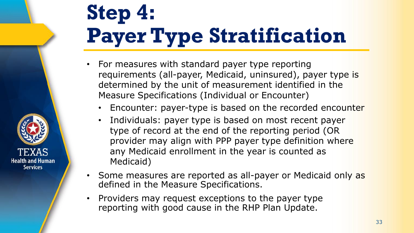## **Step 4: Payer Type Stratification**

- For measures with standard payer type reporting requirements (all-payer, Medicaid, uninsured), payer type is determined by the unit of measurement identified in the Measure Specifications (Individual or Encounter)
	- Encounter: payer-type is based on the recorded encounter
	- Individuals: payer type is based on most recent payer type of record at the end of the reporting period (OR provider may align with PPP payer type definition where any Medicaid enrollment in the year is counted as Medicaid)
- Some measures are reported as all-payer or Medicaid only as defined in the Measure Specifications.
- Providers may request exceptions to the payer type reporting with good cause in the RHP Plan Update.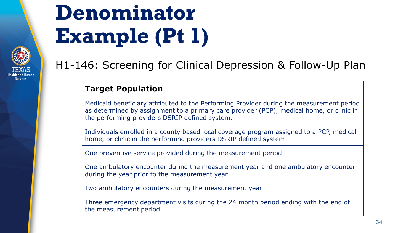## **Denominator Example (Pt 1)**



#### H1-146: Screening for Clinical Depression & Follow-Up Plan

#### **Target Population**

Medicaid beneficiary attributed to the Performing Provider during the measurement period as determined by assignment to a primary care provider (PCP), medical home, or clinic in the performing providers DSRIP defined system.

Individuals enrolled in a county based local coverage program assigned to a PCP, medical home, or clinic in the performing providers DSRIP defined system

One preventive service provided during the measurement period

One ambulatory encounter during the measurement year and one ambulatory encounter during the year prior to the measurement year

Two ambulatory encounters during the measurement year

Three emergency department visits during the 24 month period ending with the end of the measurement period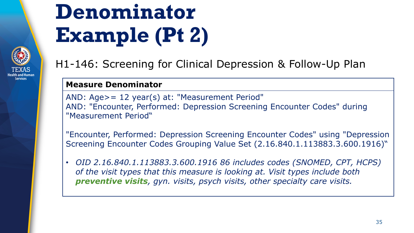## **Denominator Example (Pt 2)**

#### H1-146: Screening for Clinical Depression & Follow-Up Plan

#### **Measure Denominator**

AND: Age>= 12 year(s) at: "Measurement Period" AND: "Encounter, Performed: Depression Screening Encounter Codes" during "Measurement Period"

"Encounter, Performed: Depression Screening Encounter Codes" using "Depression Screening Encounter Codes Grouping Value Set (2.16.840.1.113883.3.600.1916)"

• *OID 2.16.840.1.113883.3.600.1916 86 includes codes (SNOMED, CPT, HCPS) of the visit types that this measure is looking at. Visit types include both preventive visits, gyn. visits, psych visits, other specialty care visits.*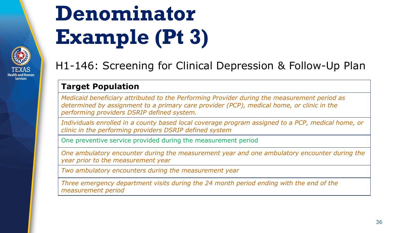## **Denominator Example (Pt 3)**



#### H1-146: Screening for Clinical Depression & Follow-Up Plan

#### **Target Population**

*Medicaid beneficiary attributed to the Performing Provider during the measurement period as determined by assignment to a primary care provider (PCP), medical home, or clinic in the performing providers DSRIP defined system.*

*Individuals enrolled in a county based local coverage program assigned to a PCP, medical home, or clinic in the performing providers DSRIP defined system*

One preventive service provided during the measurement period

*One ambulatory encounter during the measurement year and one ambulatory encounter during the year prior to the measurement year* 

*Two ambulatory encounters during the measurement year* 

*Three emergency department visits during the 24 month period ending with the end of the measurement period*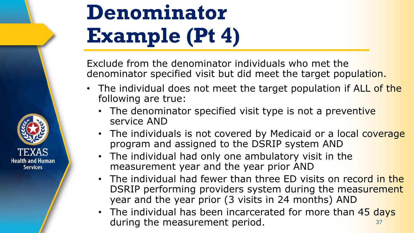

**Health and Human Services** 

Exclude from the denominator individuals who met the denominator specified visit but did meet the target population.

- The individual does not meet the target population if ALL of the following are true:
	- The denominator specified visit type is not a preventive service AND
	- The individuals is not covered by Medicaid or a local coverage program and assigned to the DSRIP system AND
	- The individual had only one ambulatory visit in the measurement year and the year prior AND
	- The individual had fewer than three ED visits on record in the DSRIP performing providers system during the measurement year and the year prior (3 visits in 24 months) AND
	- The individual has been incarcerated for more than 45 days during the measurement period. The same state of the state of the state of the state of the state of the state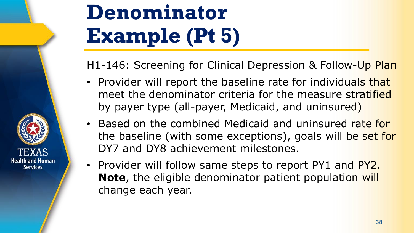

### **Denominator Example (Pt 5)**

H1-146: Screening for Clinical Depression & Follow-Up Plan

- Provider will report the baseline rate for individuals that meet the denominator criteria for the measure stratified by payer type (all-payer, Medicaid, and uninsured)
- Based on the combined Medicaid and uninsured rate for the baseline (with some exceptions), goals will be set for DY7 and DY8 achievement milestones.
- Provider will follow same steps to report PY1 and PY2. **Note**, the eligible denominator patient population will change each year.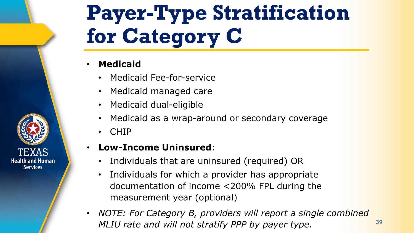## **Payer-Type Stratification for Category C**

#### • **Medicaid**

- Medicaid Fee-for-service
- Medicaid managed care
- Medicaid dual-eligible
- Medicaid as a wrap-around or secondary coverage
- CHIP

#### • **Low-Income Uninsured**:

- Individuals that are uninsured (required) OR
- Individuals for which a provider has appropriate documentation of income <200% FPL during the measurement year (optional)
- *NOTE: For Category B, providers will report a single combined MLIU rate and will not stratify PPP by payer type.*  $39$

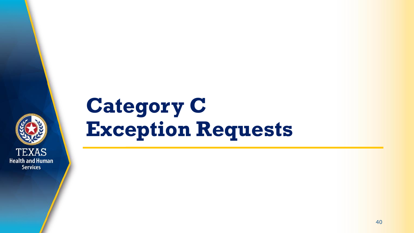

#### **Category C Exception Requests**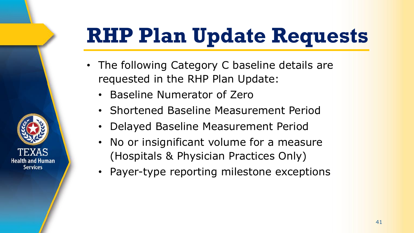## **RHP Plan Update Requests**

- The following Category C baseline details are requested in the RHP Plan Update:
	- Baseline Numerator of Zero
	- Shortened Baseline Measurement Period
	- Delayed Baseline Measurement Period
	- No or insignificant volume for a measure (Hospitals & Physician Practices Only)
	- Payer-type reporting milestone exceptions

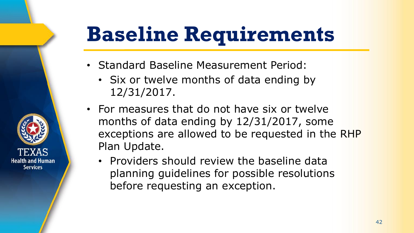## **Baseline Requirements**

- Standard Baseline Measurement Period:
	- Six or twelve months of data ending by 12/31/2017.
- For measures that do not have six or twelve months of data ending by 12/31/2017, some exceptions are allowed to be requested in the RHP Plan Update.
	- Providers should review the baseline data planning guidelines for possible resolutions before requesting an exception.

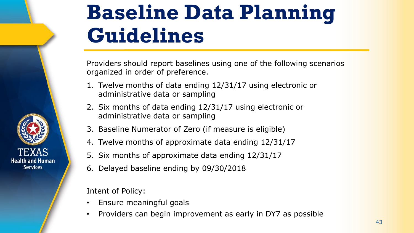

### **Baseline Data Planning Guidelines**

Providers should report baselines using one of the following scenarios organized in order of preference.

- 1. Twelve months of data ending 12/31/17 using electronic or administrative data or sampling
- 2. Six months of data ending 12/31/17 using electronic or administrative data or sampling
- 3. Baseline Numerator of Zero (if measure is eligible)
- 4. Twelve months of approximate data ending 12/31/17
- 5. Six months of approximate data ending 12/31/17
- 6. Delayed baseline ending by 09/30/2018

Intent of Policy:

- Ensure meaningful goals
- Providers can begin improvement as early in DY7 as possible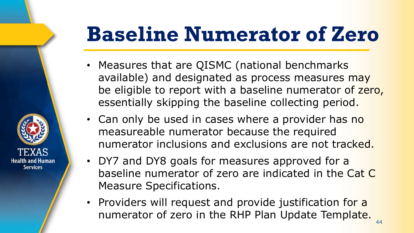### **Baseline Numerator of Zero**

- Measures that are QISMC (national benchmarks available) and designated as process measures may be eligible to report with a baseline numerator of zero, essentially skipping the baseline collecting period.
- Can only be used in cases where a provider has no measureable numerator because the required numerator inclusions and exclusions are not tracked.
- DY7 and DY8 goals for measures approved for a baseline numerator of zero are indicated in the Cat C Measure Specifications.

**Health and Human Services** 

> • Providers will request and provide justification for a numerator of zero in the RHP Plan Update Template.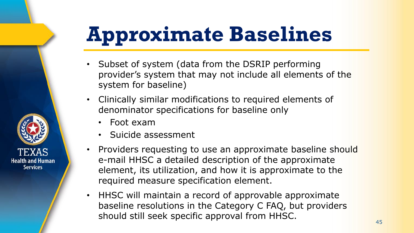### **Approximate Baselines**

- Subset of system (data from the DSRIP performing provider's system that may not include all elements of the system for baseline)
- Clinically similar modifications to required elements of denominator specifications for baseline only
	- Foot exam

- Suicide assessment
- Providers requesting to use an approximate baseline should e-mail HHSC a detailed description of the approximate element, its utilization, and how it is approximate to the required measure specification element.
- HHSC will maintain a record of approvable approximate baseline resolutions in the Category C FAQ, but providers should still seek specific approval from HHSC.

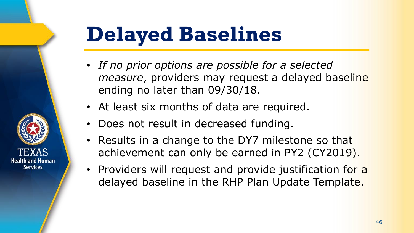#### **Delayed Baselines**

- *If no prior options are possible for a selected measure*, providers may request a delayed baseline ending no later than 09/30/18.
- At least six months of data are required.
- Does not result in decreased funding.
- Results in a change to the DY7 milestone so that achievement can only be earned in PY2 (CY2019).
- Providers will request and provide justification for a delayed baseline in the RHP Plan Update Template.

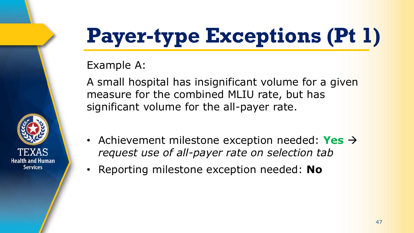## **Payer-type Exceptions (Pt 1)**

Example A:

**Health and Human Services** 

A small hospital has insignificant volume for a given measure for the combined MLIU rate, but has significant volume for the all-payer rate.

- Achievement milestone exception needed: **Yes**  $\rightarrow$ *request use of all-payer rate on selection tab*
- Reporting milestone exception needed: **No**

47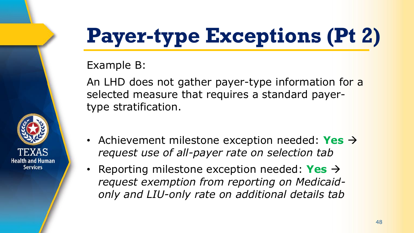## **Payer-type Exceptions (Pt 2)**

Example B:

**Health and Human Services** 

An LHD does not gather payer-type information for a selected measure that requires a standard payertype stratification.

- Achievement milestone exception needed: **Yes**  $\rightarrow$ *request use of all-payer rate on selection tab*
- Reporting milestone exception needed: **Yes** *request exemption from reporting on Medicaidonly and LIU-only rate on additional details tab*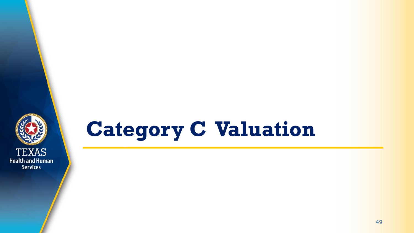

#### **Category C Valuation**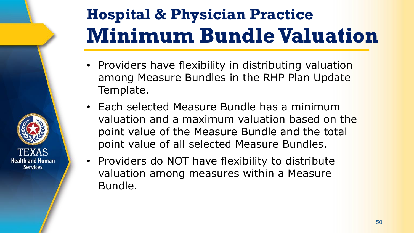#### **Hospital & Physician Practice Minimum Bundle Valuation**

- Providers have flexibility in distributing valuation among Measure Bundles in the RHP Plan Update Template.
- Each selected Measure Bundle has a minimum valuation and a maximum valuation based on the point value of the Measure Bundle and the total point value of all selected Measure Bundles.
- Providers do NOT have flexibility to distribute valuation among measures within a Measure Bundle.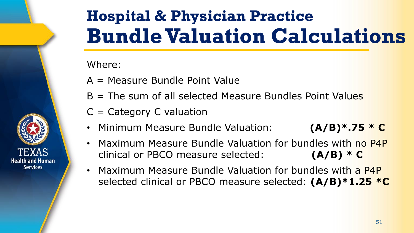

#### **Hospital & Physician Practice Bundle Valuation Calculations**

#### Where:

- A = Measure Bundle Point Value
- $B =$  The sum of all selected Measure Bundles Point Values
- $C =$  Category C valuation
- Minimum Measure Bundle Valuation: **(A/B)\*.75 \* C**
- Maximum Measure Bundle Valuation for bundles with no P4P clinical or PBCO measure selected: **(A/B) \* C**
- Maximum Measure Bundle Valuation for bundles with a P4P selected clinical or PBCO measure selected: **(A/B)\*1.25 \*C**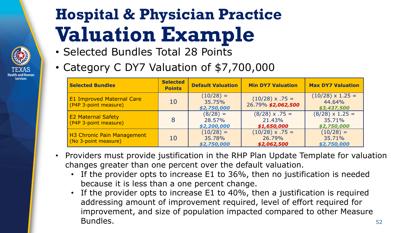#### **Hospital & Physician Practice Valuation Example**

- Selected Bundles Total 28 Points
- Category C DY7 Valuation of \$7,700,000

| <b>Selected Bundles</b>                                   | <b>Selected</b><br><b>Points</b> | <b>Default Valuation</b>             | <b>Min DY7 Valuation</b>                        | <b>Max DY7 Valuation</b>                         |
|-----------------------------------------------------------|----------------------------------|--------------------------------------|-------------------------------------------------|--------------------------------------------------|
| <b>E1 Improved Maternal Care</b><br>(P4P 3-point measure) | 10                               | $(10/28) =$<br>35.75%<br>\$2,750,000 | $(10/28) \times .75 =$<br>26.79% \$2,062,500    | $(10/28) \times 1.25 =$<br>44.64%<br>\$3,437,500 |
| <b>E2 Maternal Safety</b><br>(P4P 3-point measure)        | 8                                | $(8/28) =$<br>28.57%<br>\$2,200,000  | $(8/28) \times .75 =$<br>21.43%<br>\$1,650,000  | $(8/28) \times 1.25 =$<br>35.71%<br>\$2,750,000  |
| H3 Chronic Pain Management<br>(No 3-point measure)        | 10                               | $(10/28) =$<br>35.78%<br>\$2,750,000 | $(10/28) \times .75 =$<br>26.79%<br>\$2,062,500 | $(10/28) =$<br>35.71%<br>\$2,750,000             |

- Providers must provide justification in the RHP Plan Update Template for valuation changes greater than one percent over the default valuation.
	- If the provider opts to increase E1 to 36%, then no justification is needed because it is less than a one percent change.
	- If the provider opts to increase E1 to 40%, then a justification is required addressing amount of improvement required, level of effort required for improvement, and size of population impacted compared to other Measure **Bundles.** 52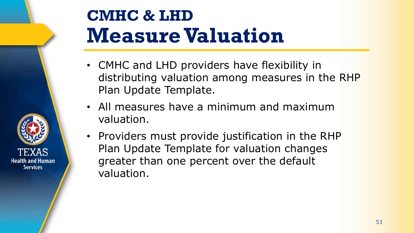

#### **CMHC & LHD Measure Valuation**

- CMHC and LHD providers have flexibility in distributing valuation among measures in the RHP Plan Update Template.
- All measures have a minimum and maximum valuation.
- Providers must provide justification in the RHP Plan Update Template for valuation changes greater than one percent over the default valuation.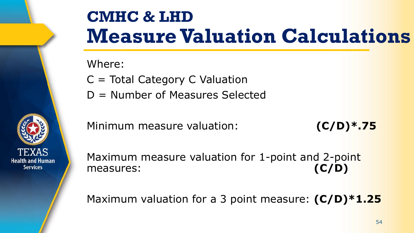

Where:

- C = Total Category C Valuation
- D = Number of Measures Selected

Minimum measure valuation: **(C/D)\*.75**

Maximum measure valuation for 1-point and 2-point measures: **(C/D)** 

Maximum valuation for a 3 point measure: **(C/D)\*1.25**

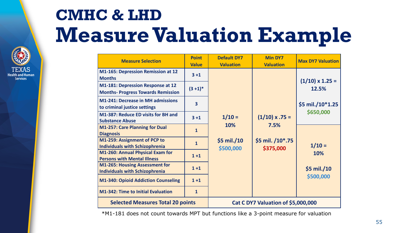#### **CMHC & LHD Measure Valuation Example**



| <b>Measure Selection</b>                                                              | <b>Point</b><br><b>Value</b> | <b>Default DY7</b><br><b>Valuation</b>      | <b>Min DY7</b><br><b>Valuation</b>                             | <b>Max DY7 Valuation</b>         |
|---------------------------------------------------------------------------------------|------------------------------|---------------------------------------------|----------------------------------------------------------------|----------------------------------|
| <b>M1-165: Depression Remission at 12</b><br><b>Months</b>                            | $3 + 1$                      |                                             |                                                                | $(1/10) \times 1.25 =$           |
| <b>M1-181: Depression Response at 12</b><br><b>Months- Progress Towards Remission</b> | $(3+1)*$                     | $1/10 =$<br>10%<br>\$5 mil./10<br>\$500,000 | $(1/10) \times .75 =$<br>7.5%<br>\$5 mil. /10*.75<br>\$375,000 | 12.5%                            |
| <b>M1-241: Decrease in MH admissions</b><br>to criminal justice settings              | $\overline{\mathbf{3}}$      |                                             |                                                                | \$5 mil./10*1.25                 |
| <b>M1-387: Reduce ED visits for BH and</b><br><b>Substance Abuse</b>                  | $3 + 1$                      |                                             |                                                                | \$650,000                        |
| <b>M1-257: Care Planning for Dual</b><br><b>Diagnosis</b>                             | $\mathbf{1}$                 |                                             |                                                                |                                  |
| M1-259: Assignment of PCP to<br><b>Individuals with Schizophrenia</b>                 | $\mathbf{1}$                 |                                             |                                                                | $1/10 =$                         |
| M1-260: Annual Physical Exam for<br><b>Persons with Mental Illness</b>                | $1+1$                        |                                             |                                                                | 10%<br>$$5$ mil./10<br>\$500,000 |
| <b>M1-265: Housing Assessment for</b><br><b>Individuals with Schizophrenia</b>        | $1+1$                        |                                             |                                                                |                                  |
| <b>M1-340: Opioid Addiction Counseling</b>                                            | $1+1$                        |                                             |                                                                |                                  |
| <b>M1-342: Time to Initial Evaluation</b>                                             | $\mathbf{1}$                 |                                             |                                                                |                                  |
| <b>Selected Measures Total 20 points</b>                                              |                              | Cat C DY7 Valuation of \$5,000,000          |                                                                |                                  |

\*M1-181 does not count towards MPT but functions like a 3-point measure for valuation